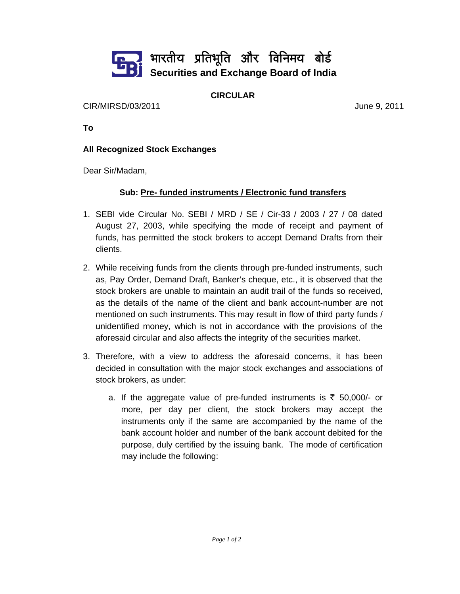

## **CIRCULAR**

CIR/MIRSD/03/2011 June 9, 2011

**To** 

## **All Recognized Stock Exchanges**

Dear Sir/Madam,

## **Sub: Pre- funded instruments / Electronic fund transfers**

- 1. SEBI vide Circular No. SEBI / MRD / SE / Cir-33 / 2003 / 27 / 08 dated August 27, 2003, while specifying the mode of receipt and payment of funds, has permitted the stock brokers to accept Demand Drafts from their clients.
- 2. While receiving funds from the clients through pre-funded instruments, such as, Pay Order, Demand Draft, Banker's cheque, etc., it is observed that the stock brokers are unable to maintain an audit trail of the funds so received, as the details of the name of the client and bank account-number are not mentioned on such instruments. This may result in flow of third party funds / unidentified money, which is not in accordance with the provisions of the aforesaid circular and also affects the integrity of the securities market.
- 3. Therefore, with a view to address the aforesaid concerns, it has been decided in consultation with the major stock exchanges and associations of stock brokers, as under:
	- a. If the aggregate value of pre-funded instruments is  $\bar{\tau}$  50,000/- or more, per day per client, the stock brokers may accept the instruments only if the same are accompanied by the name of the bank account holder and number of the bank account debited for the purpose, duly certified by the issuing bank. The mode of certification may include the following: